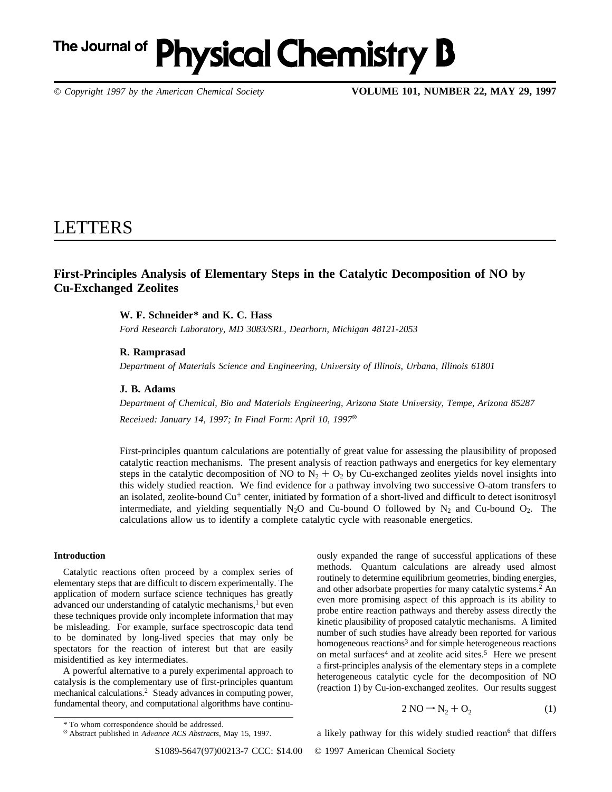# The Journal of **Physical Chemistry B**

*© Copyright 1997 by the American Chemical Society* **VOLUME 101, NUMBER 22, MAY 29, 1997**

# LETTERS

# **First-Principles Analysis of Elementary Steps in the Catalytic Decomposition of NO by Cu-Exchanged Zeolites**

## **W. F. Schneider\* and K. C. Hass**

*Ford Research Laboratory, MD 3083/SRL, Dearborn, Michigan 48121-2053*

### **R. Ramprasad**

*Department of Materials Science and Engineering, University of Illinois, Urbana, Illinois 61801* 

#### **J. B. Adams**

*Department of Chemical, Bio and Materials Engineering, Arizona State Uni*V*ersity, Tempe, Arizona 85287 Received: January 14, 1997; In Final Form: April 10, 1997*<sup>®</sup>

First-principles quantum calculations are potentially of great value for assessing the plausibility of proposed catalytic reaction mechanisms. The present analysis of reaction pathways and energetics for key elementary steps in the catalytic decomposition of NO to  $N_2 + O_2$  by Cu-exchanged zeolites yields novel insights into this widely studied reaction. We find evidence for a pathway involving two successive O-atom transfers to an isolated, zeolite-bound Cu<sup>+</sup> center, initiated by formation of a short-lived and difficult to detect isonitrosyl intermediate, and yielding sequentially  $N_2O$  and Cu-bound O followed by  $N_2$  and Cu-bound  $O_2$ . The calculations allow us to identify a complete catalytic cycle with reasonable energetics.

### **Introduction**

Catalytic reactions often proceed by a complex series of elementary steps that are difficult to discern experimentally. The application of modern surface science techniques has greatly advanced our understanding of catalytic mechanisms,<sup>1</sup> but even these techniques provide only incomplete information that may be misleading. For example, surface spectroscopic data tend to be dominated by long-lived species that may only be spectators for the reaction of interest but that are easily misidentified as key intermediates.

A powerful alternative to a purely experimental approach to catalysis is the complementary use of first-principles quantum mechanical calculations.2 Steady advances in computing power, fundamental theory, and computational algorithms have continuously expanded the range of successful applications of these methods. Quantum calculations are already used almost routinely to determine equilibrium geometries, binding energies, and other adsorbate properties for many catalytic systems.2 An even more promising aspect of this approach is its ability to probe entire reaction pathways and thereby assess directly the kinetic plausibility of proposed catalytic mechanisms. A limited number of such studies have already been reported for various homogeneous reactions<sup>3</sup> and for simple heterogeneous reactions on metal surfaces<sup>4</sup> and at zeolite acid sites.<sup>5</sup> Here we present a first-principles analysis of the elementary steps in a complete heterogeneous catalytic cycle for the decomposition of NO (reaction 1) by Cu-ion-exchanged zeolites. Our results suggest

$$
2\,\text{NO} \rightarrow \text{N}_2 + \text{O}_2\tag{1}
$$

a likely pathway for this widely studied reaction<sup>6</sup> that differs

S1089-5647(97)00213-7 CCC: \$14.00 © 1997 American Chemical Society

<sup>\*</sup> To whom correspondence should be addressed.

<sup>X</sup> Abstract published in *Ad*V*ance ACS Abstracts,* May 15, 1997.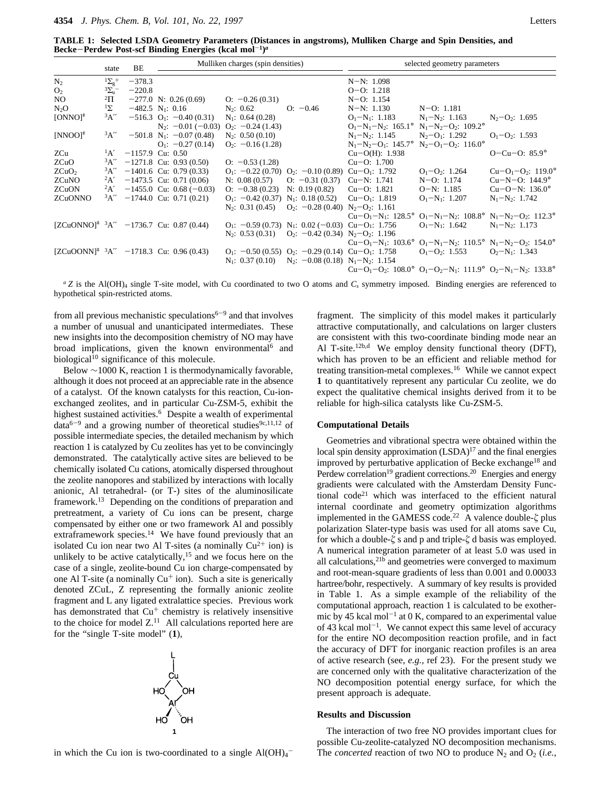**TABLE 1: Selected LSDA Geometry Parameters (Distances in angstroms), Mulliken Charge and Spin Densities, and Becke**-**Perdew Post-scf Binding Energies (kcal mol**-**1)***<sup>a</sup>*

|                                    | state          | BE       | Mulliken charges (spin densities)                        |                      |                                                                              | selected geometry parameters                  |                                                                                                                                                                                       |                                |
|------------------------------------|----------------|----------|----------------------------------------------------------|----------------------|------------------------------------------------------------------------------|-----------------------------------------------|---------------------------------------------------------------------------------------------------------------------------------------------------------------------------------------|--------------------------------|
| $N_2$                              | $1\Sigma_g^+$  | $-378.3$ |                                                          |                      |                                                                              | $N-N: 1.098$                                  |                                                                                                                                                                                       |                                |
| O <sub>2</sub>                     | $\frac{3y}{u}$ | $-220.8$ |                                                          |                      |                                                                              | $O-O: 1.218$                                  |                                                                                                                                                                                       |                                |
| NO.                                | $^2\Pi$        |          | $-277.0$ N: 0.26 (0.69)                                  | $Q: -0.26(0.31)$     |                                                                              | $N-O: 1.154$                                  |                                                                                                                                                                                       |                                |
| $N_2O$                             | $1\Sigma$      |          | $-482.5$ N <sub>1</sub> : 0.16                           | $N_2$ : 0.62         | $O: -0.46$                                                                   | $N-N: 1.130$                                  | $N-O: 1.181$                                                                                                                                                                          |                                |
| $[ONNO]$ <sup><math>*</math></sup> | A''            |          | $-516.3$ O <sub>1</sub> : $-0.40$ (0.31)                 | $N_1$ : 0.64 (0.28)  |                                                                              | $O_1-N_1$ : 1.183                             | $N_1 - N_2$ : 1.163                                                                                                                                                                   | $N_2$ –O <sub>2</sub> : 1.695  |
|                                    |                |          | $N_2$ : $-0.01$ ( $-0.03$ ) $Q_2$ : $-0.24$ (1.43)       |                      |                                                                              | $O_1-N_1-N_2$ : 165.1° $N_1-N_2-O_2$ : 109.2° |                                                                                                                                                                                       |                                |
| $[NNOO]^+$                         |                |          | ${}^{3}A''$ -501.8 N <sub>1</sub> : -0.07 (0.48)         | $N_2$ : 0.50 (0.10)  |                                                                              | $N_1-N_2$ : 1.145 $N_2-O_1$ : 1.292           |                                                                                                                                                                                       | $O_1-O_2$ : 1.593              |
|                                    |                |          | $Q_1$ : -0.27 (0.14)                                     | $Q_2$ : -0.16 (1.28) |                                                                              | $N_1-N_2-O_1$ : 145.7° $N_2-O_1-O_2$ : 116.0° |                                                                                                                                                                                       |                                |
| ZCu                                |                |          | ${}^{1}$ A' -1157.9 Cu: 0.50                             |                      |                                                                              | $Cu-O(H)$ : 1.938                             |                                                                                                                                                                                       | $O - Cu - O$ : 85.9 $^{\circ}$ |
| ZCuO                               |                |          | $3A'' -1271.8$ Cu: 0.93 (0.50)                           | $Q: -0.53(1.28)$     |                                                                              | $Cu-O: 1.700$                                 |                                                                                                                                                                                       |                                |
| ZCuO <sub>2</sub>                  |                |          | $3A'' -1401.6$ Cu: 0.79 (0.33)                           |                      | $Q_1$ : $-0.22$ (0.70) $Q_2$ : $-0.10$ (0.89) $Cu - Q_1$ : 1.792             |                                               | $O_1-O_2$ : 1.264                                                                                                                                                                     | $Cu-O1-O2: 119.0°$             |
| ZCuNO                              |                |          | ${}^{2}A'$ -1473.5 Cu: 0.71 (0.06)                       |                      | N: $0.08(0.57)$ O: $-0.31(0.37)$                                             | $Cu-N: 1.741$                                 | $N=O: 1.174$                                                                                                                                                                          | $Cu-N-O: 144.9^{\circ}$        |
| <b>ZCuON</b>                       |                |          | ${}^{2}A'$ -1455.0 Cu: 0.68 (-0.03)                      |                      | $O: -0.38(0.23)$ N: 0.19 (0.82)                                              | $Cu-O: 1.821$                                 | $O-N: 1.185$                                                                                                                                                                          | $Cu-O-N: 136.0^{\circ}$        |
| ZCuONNO                            |                |          | ${}^{3}A''$ -1744.0 Cu: 0.71 (0.21)                      |                      | $Q_1$ : $-0.42$ (0.37) N <sub>1</sub> : 0.18 (0.52)                          | $Cu-O1: 1.819$                                | $O_1 - N_1$ : 1.207                                                                                                                                                                   | $N_1-N_2$ : 1.742              |
|                                    |                |          |                                                          |                      | $N_2$ : 0.31 (0.45) $Q_2$ : -0.28 (0.40) $N_2$ - $Q_2$ : 1.161               |                                               |                                                                                                                                                                                       |                                |
|                                    |                |          |                                                          |                      |                                                                              |                                               | $Cu-O_1-N_1$ : 128.5° $O_1-N_1-N_2$ : 108.8° $N_1-N_2-O_2$ : 112.3°                                                                                                                   |                                |
|                                    |                |          | $[ZCuONNO]^+$ <sup>3</sup> A" -1736.7 Cu: 0.87 (0.44)    |                      | $Q_1$ : -0.59 (0.73) N <sub>1</sub> : 0.02 (-0.03) Cu-O <sub>1</sub> : 1.756 |                                               | $O_1-N_1$ : 1.642                                                                                                                                                                     | $N_1-N_2$ : 1.173              |
|                                    |                |          |                                                          |                      | $N_2$ : 0.53 (0.31) $Q_2$ : -0.42 (0.34) $N_2$ - $Q_2$ : 1.196               |                                               |                                                                                                                                                                                       |                                |
|                                    |                |          |                                                          |                      |                                                                              |                                               | $Cu-O1-N1: 103.6° O1-N1-N2: 110.5° N1-N2-O2: 154.0°$                                                                                                                                  |                                |
|                                    |                |          | $[ZCuOONN]^{\ddagger}$ $^{3}A''$ -1718.3 Cu: 0.96 (0.43) |                      | $Q_1$ : $-0.50$ (0.55) $Q_2$ : $-0.29$ (0.14) $Cu - Q_1$ : 1.758             |                                               | $O_1-O_2$ : 1.553                                                                                                                                                                     | $O_2-N_1$ : 1.343              |
|                                    |                |          |                                                          |                      | $N_1$ : 0.37 (0.10) $N_2$ : -0.08 (0.18) $N_1-N_2$ : 1.154                   |                                               |                                                                                                                                                                                       |                                |
|                                    |                |          |                                                          |                      |                                                                              |                                               | Cu-O <sub>1</sub> -O <sub>2</sub> : $108.0^{\circ}$ O <sub>1</sub> -O <sub>2</sub> -N <sub>1</sub> : $111.9^{\circ}$ O <sub>2</sub> -N <sub>1</sub> -N <sub>2</sub> : $133.8^{\circ}$ |                                |

 $aZ$  is the Al(OH)<sub>4</sub> single T-site model, with Cu coordinated to two O atoms and  $C_s$  symmetry imposed. Binding energies are referenced to hypothetical spin-restricted atoms.

from all previous mechanistic speculations $6-9$  and that involves a number of unusual and unanticipated intermediates. These new insights into the decomposition chemistry of NO may have broad implications, given the known environmental<sup>6</sup> and biological<sup>10</sup> significance of this molecule.

Below ∼1000 K, reaction 1 is thermodynamically favorable, although it does not proceed at an appreciable rate in the absence of a catalyst. Of the known catalysts for this reaction, Cu-ionexchanged zeolites, and in particular Cu-ZSM-5, exhibit the highest sustained activities.<sup>6</sup> Despite a wealth of experimental  $data^{6-9}$  and a growing number of theoretical studies<sup>9c,11,12</sup> of possible intermediate species, the detailed mechanism by which reaction 1 is catalyzed by Cu zeolites has yet to be convincingly demonstrated. The catalytically active sites are believed to be chemically isolated Cu cations, atomically dispersed throughout the zeolite nanopores and stabilized by interactions with locally anionic, Al tetrahedral- (or T-) sites of the aluminosilicate framework.13 Depending on the conditions of preparation and pretreatment, a variety of Cu ions can be present, charge compensated by either one or two framework Al and possibly extraframework species.<sup>14</sup> We have found previously that an isolated Cu ion near two Al T-sites (a nominally  $Cu^{2+}$  ion) is unlikely to be active catalytically,<sup>15</sup> and we focus here on the case of a single, zeolite-bound Cu ion charge-compensated by one Al T-site (a nominally  $Cu<sup>+</sup>$  ion). Such a site is generically denoted ZCuL, Z representing the formally anionic zeolite fragment and L any ligated extralattice species. Previous work has demonstrated that  $Cu<sup>+</sup>$  chemistry is relatively insensitive to the choice for model  $Z<sup>11</sup>$  All calculations reported here are for the "single T-site model" (**1**),



in which the Cu ion is two-coordinated to a single  $Al(OH)_4^-$ 

fragment. The simplicity of this model makes it particularly attractive computationally, and calculations on larger clusters are consistent with this two-coordinate binding mode near an Al T-site.<sup>12b,d</sup> We employ density functional theory (DFT), which has proven to be an efficient and reliable method for treating transition-metal complexes.16 While we cannot expect **1** to quantitatively represent any particular Cu zeolite, we do expect the qualitative chemical insights derived from it to be reliable for high-silica catalysts like Cu-ZSM-5.

#### **Computational Details**

Geometries and vibrational spectra were obtained within the local spin density approximation (LSDA)<sup>17</sup> and the final energies improved by perturbative application of Becke exchange<sup>18</sup> and Perdew correlation<sup>19</sup> gradient corrections.<sup>20</sup> Energies and energy gradients were calculated with the Amsterdam Density Functional code21 which was interfaced to the efficient natural internal coordinate and geometry optimization algorithms implemented in the GAMESS code.<sup>22</sup> A valence double- $\zeta$  plus polarization Slater-type basis was used for all atoms save Cu, for which a double-*ú* s and p and triple-*ú* d basis was employed. A numerical integration parameter of at least 5.0 was used in all calculations, $21<sup>b</sup>$  and geometries were converged to maximum and root-mean-square gradients of less than 0.001 and 0.00033 hartree/bohr, respectively. A summary of key results is provided in Table 1. As a simple example of the reliability of the computational approach, reaction 1 is calculated to be exothermic by 45 kcal mol<sup>-1</sup> at 0 K, compared to an experimental value of 43 kcal mol<sup>-1</sup>. We cannot expect this same level of accuracy for the entire NO decomposition reaction profile, and in fact the accuracy of DFT for inorganic reaction profiles is an area of active research (see, *e.g.,* ref 23). For the present study we are concerned only with the qualitative characterization of the NO decomposition potential energy surface, for which the present approach is adequate.

#### **Results and Discussion**

The interaction of two free NO provides important clues for possible Cu-zeolite-catalyzed NO decomposition mechanisms. The *concerted* reaction of two NO to produce  $N_2$  and  $O_2$  (*i.e.*,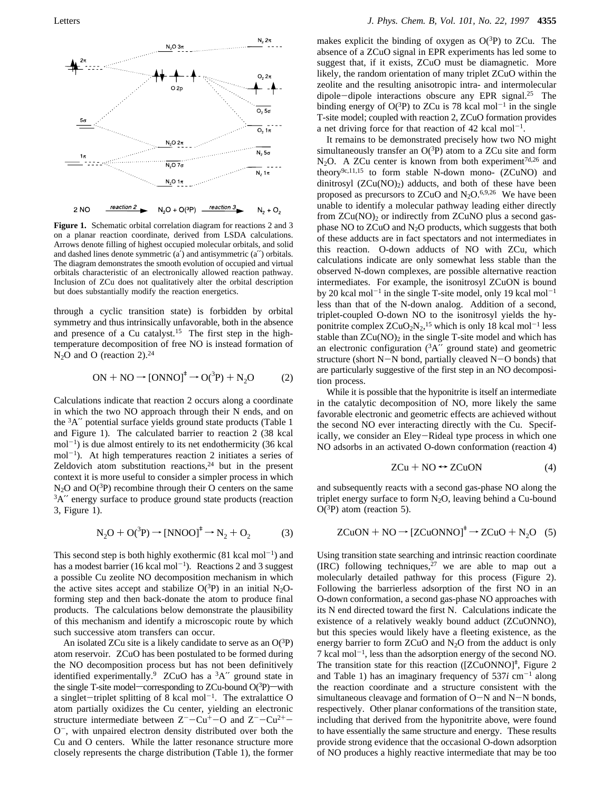

**Figure 1.** Schematic orbital correlation diagram for reactions 2 and 3 on a planar reaction coordinate, derived from LSDA calculations. Arrows denote filling of highest occupied molecular orbitals, and solid and dashed lines denote symmetric (a′) and antisymmetric (a′′) orbitals. The diagram demonstrates the smooth evolution of occupied and virtual orbitals characteristic of an electronically allowed reaction pathway. Inclusion of ZCu does not qualitatively alter the orbital description but does substantially modify the reaction energetics.

through a cyclic transition state) is forbidden by orbital symmetry and thus intrinsically unfavorable, both in the absence and presence of a Cu catalyst.<sup>15</sup> The first step in the hightemperature decomposition of free NO is instead formation of  $N_2O$  and O (reaction 2).<sup>24</sup>

$$
ON + NO \rightarrow [ONNO]‡ \rightarrow O(^{3}P) + N_{2}O
$$
 (2)

Calculations indicate that reaction 2 occurs along a coordinate in which the two NO approach through their N ends, and on the 3A′′ potential surface yields ground state products (Table 1 and Figure 1). The calculated barrier to reaction 2 (38 kcal  $mol^{-1}$ ) is due almost entirely to its net endothermicity (36 kcal  $mol^{-1}$ ). At high temperatures reaction 2 initiates a series of Zeldovich atom substitution reactions, $24$  but in the present context it is more useful to consider a simpler process in which  $N_2O$  and  $O(3P)$  recombine through their O centers on the same <sup>3</sup>A" energy surface to produce ground state products (reaction 3, Figure 1).

$$
N_2O + O(^3P) \rightarrow [NNOO]^{\dagger} \rightarrow N_2 + O_2 \tag{3}
$$

This second step is both highly exothermic  $(81 \text{ kcal mol}^{-1})$  and has a modest barrier (16 kcal mol<sup>-1</sup>). Reactions 2 and 3 suggest a possible Cu zeolite NO decomposition mechanism in which the active sites accept and stabilize  $O(^3P)$  in an initial N<sub>2</sub>Oforming step and then back-donate the atom to produce final products. The calculations below demonstrate the plausibility of this mechanism and identify a microscopic route by which such successive atom transfers can occur.

An isolated ZCu site is a likely candidate to serve as an  $O(^3P)$ atom reservoir. ZCuO has been postulated to be formed during the NO decomposition process but has not been definitively identified experimentally.<sup>9</sup> ZCuO has a  ${}^{3}A''$  ground state in the single T-site model—corresponding to ZCu-bound  $O(3P)$ —with a singlet-triplet splitting of 8 kcal mol<sup>-1</sup>. The extralattice O atom partially oxidizes the Cu center, yielding an electronic structure intermediate between  $Z^{-}$ -Cu<sup>+</sup>-O and  $Z^{-}$ -Cu<sup>2+</sup>-O-, with unpaired electron density distributed over both the Cu and O centers. While the latter resonance structure more closely represents the charge distribution (Table 1), the former

makes explicit the binding of oxygen as  $O(^3P)$  to ZCu. The absence of a ZCuO signal in EPR experiments has led some to suggest that, if it exists, ZCuO must be diamagnetic. More likely, the random orientation of many triplet ZCuO within the zeolite and the resulting anisotropic intra- and intermolecular dipole-dipole interactions obscure any EPR signal.25 The binding energy of  $O(^3P)$  to ZCu is 78 kcal mol<sup>-1</sup> in the single T-site model; coupled with reaction 2, ZCuO formation provides a net driving force for that reaction of 42 kcal mol<sup>-1</sup>.

It remains to be demonstrated precisely how two NO might simultaneously transfer an  $O(^3P)$  atom to a ZCu site and form N<sub>2</sub>O. A ZCu center is known from both experiment<sup>7d,26</sup> and theory $9c,11,15$  to form stable N-down mono- (ZCuNO) and dinitrosyl  $(ZCu(NO)_2)$  adducts, and both of these have been proposed as precursors to ZCuO and  $N_2O$ .<sup>6,9,26</sup> We have been unable to identify a molecular pathway leading either directly from  $ZCu(NO)$ , or indirectly from  $ZCuNO$  plus a second gasphase NO to ZCuO and N2O products, which suggests that both of these adducts are in fact spectators and not intermediates in this reaction. O-down adducts of NO with ZCu, which calculations indicate are only somewhat less stable than the observed N-down complexes, are possible alternative reaction intermediates. For example, the isonitrosyl ZCuON is bound by 20 kcal mol<sup>-1</sup> in the single T-site model, only 19 kcal mol<sup>-1</sup> less than that of the N-down analog. Addition of a second, triplet-coupled O-down NO to the isonitrosyl yields the hyponitrite complex  $ZCuO<sub>2</sub>N<sub>2</sub>$ ,<sup>15</sup> which is only 18 kcal mol<sup>-1</sup> less stable than  $ZCu(NO)_2$  in the single T-site model and which has an electronic configuration  $({}^3A''$  ground state) and geometric structure (short  $N-N$  bond, partially cleaved  $N-O$  bonds) that are particularly suggestive of the first step in an NO decomposition process.

While it is possible that the hyponitrite is itself an intermediate in the catalytic decomposition of NO, more likely the same favorable electronic and geometric effects are achieved without the second NO ever interacting directly with the Cu. Specifically, we consider an Eley-Rideal type process in which one NO adsorbs in an activated O-down conformation (reaction 4)

$$
ZCu + NO \leftrightarrow ZCuON \tag{4}
$$

and subsequently reacts with a second gas-phase NO along the triplet energy surface to form  $N_2O$ , leaving behind a Cu-bound  $O(^3P)$  atom (reaction 5).

$$
ZCuON + NO \rightarrow [ZCuONNO]† \rightarrow ZCuO + N2O (5)
$$

Using transition state searching and intrinsic reaction coordinate (IRC) following techniques, $27$  we are able to map out a molecularly detailed pathway for this process (Figure 2). Following the barrierless adsorption of the first NO in an O-down conformation, a second gas-phase NO approaches with its N end directed toward the first N. Calculations indicate the existence of a relatively weakly bound adduct (ZCuONNO), but this species would likely have a fleeting existence, as the energy barrier to form  $ZCuO$  and  $N<sub>2</sub>O$  from the adduct is only  $7$  kcal mol<sup>-1</sup>, less than the adsorption energy of the second NO. The transition state for this reaction ( $[ZCuONNO]^+$ , Figure 2 and Table 1) has an imaginary frequency of  $537i$  cm<sup>-1</sup> along the reaction coordinate and a structure consistent with the simultaneous cleavage and formation of  $O-N$  and  $N-N$  bonds, respectively. Other planar conformations of the transition state, including that derived from the hyponitrite above, were found to have essentially the same structure and energy. These results provide strong evidence that the occasional O-down adsorption of NO produces a highly reactive intermediate that may be too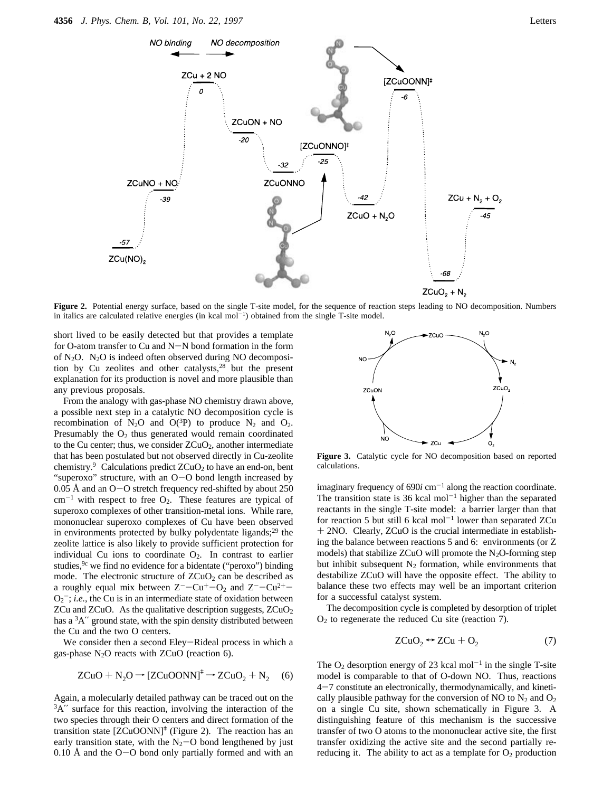

Figure 2. Potential energy surface, based on the single T-site model, for the sequence of reaction steps leading to NO decomposition. Numbers in italics are calculated relative energies (in kcal  $mol^{-1}$ ) obtained from the single T-site model.

short lived to be easily detected but that provides a template for O-atom transfer to Cu and N-N bond formation in the form of N2O. N2O is indeed often observed during NO decomposition by Cu zeolites and other catalysts, $28$  but the present explanation for its production is novel and more plausible than any previous proposals.

From the analogy with gas-phase NO chemistry drawn above, a possible next step in a catalytic NO decomposition cycle is recombination of N<sub>2</sub>O and O(<sup>3</sup>P) to produce N<sub>2</sub> and O<sub>2</sub>. Presumably the  $O_2$  thus generated would remain coordinated to the Cu center; thus, we consider  $ZCuO<sub>2</sub>$ , another intermediate that has been postulated but not observed directly in Cu-zeolite chemistry.<sup>9</sup> Calculations predict  $ZCuO<sub>2</sub>$  to have an end-on, bent "superoxo" structure, with an O-O bond length increased by 0.05 Å and an  $O-O$  stretch frequency red-shifted by about 250  $cm^{-1}$  with respect to free  $O_2$ . These features are typical of superoxo complexes of other transition-metal ions. While rare, mononuclear superoxo complexes of Cu have been observed in environments protected by bulky polydentate ligands; $^{29}$  the zeolite lattice is also likely to provide sufficient protection for individual Cu ions to coordinate  $O_2$ . In contrast to earlier studies,<sup>9c</sup> we find no evidence for a bidentate ("peroxo") binding mode. The electronic structure of  $ZCuO<sub>2</sub>$  can be described as a roughly equal mix between  $Z^{-}$ -Cu<sup>+</sup>-O<sub>2</sub> and  $Z^{-}$ -Cu<sup>2+</sup>- $O_2^-$ ; *i.e.*, the Cu is in an intermediate state of oxidation between  $ZCu$  and  $ZCuO$ . As the qualitative description suggests,  $ZCuO<sub>2</sub>$ has a <sup>3</sup>A" ground state, with the spin density distributed between the Cu and the two O centers.

We consider then a second Eley-Rideal process in which a gas-phase  $N_2O$  reacts with ZCuO (reaction 6).

$$
ZCuO + N_2O \rightarrow [ZCuOONN]^{\dagger} \rightarrow ZCuO_2 + N_2 \quad (6)
$$

Again, a molecularly detailed pathway can be traced out on the 3A′′ surface for this reaction, involving the interaction of the two species through their O centers and direct formation of the transition state  $[ZCuOONN]^+$  (Figure 2). The reaction has an early transition state, with the  $N_2$ -O bond lengthened by just  $0.10 \text{ Å}$  and the O-O bond only partially formed and with an



**Figure 3.** Catalytic cycle for NO decomposition based on reported calculations.

imaginary frequency of  $690i$  cm<sup>-1</sup> along the reaction coordinate. The transition state is 36 kcal mol<sup> $-1$ </sup> higher than the separated reactants in the single T-site model: a barrier larger than that for reaction 5 but still 6 kcal mol<sup> $-1$ </sup> lower than separated ZCu + 2NO. Clearly, ZCuO is the crucial intermediate in establishing the balance between reactions 5 and 6: environments (or Z models) that stabilize ZCuO will promote the  $N_2O$ -forming step but inhibit subsequent  $N_2$  formation, while environments that destabilize ZCuO will have the opposite effect. The ability to balance these two effects may well be an important criterion for a successful catalyst system.

The decomposition cycle is completed by desorption of triplet  $O<sub>2</sub>$  to regenerate the reduced Cu site (reaction 7).

$$
ZCuO_2 \leftrightarrow ZCu + O_2 \tag{7}
$$

The  $O_2$  desorption energy of 23 kcal mol<sup>-1</sup> in the single T-site model is comparable to that of O-down NO. Thus, reactions 4-7 constitute an electronically, thermodynamically, and kinetically plausible pathway for the conversion of NO to  $N_2$  and  $O_2$ on a single Cu site, shown schematically in Figure 3. A distinguishing feature of this mechanism is the successive transfer of two O atoms to the mononuclear active site, the first transfer oxidizing the active site and the second partially rereducing it. The ability to act as a template for  $O_2$  production